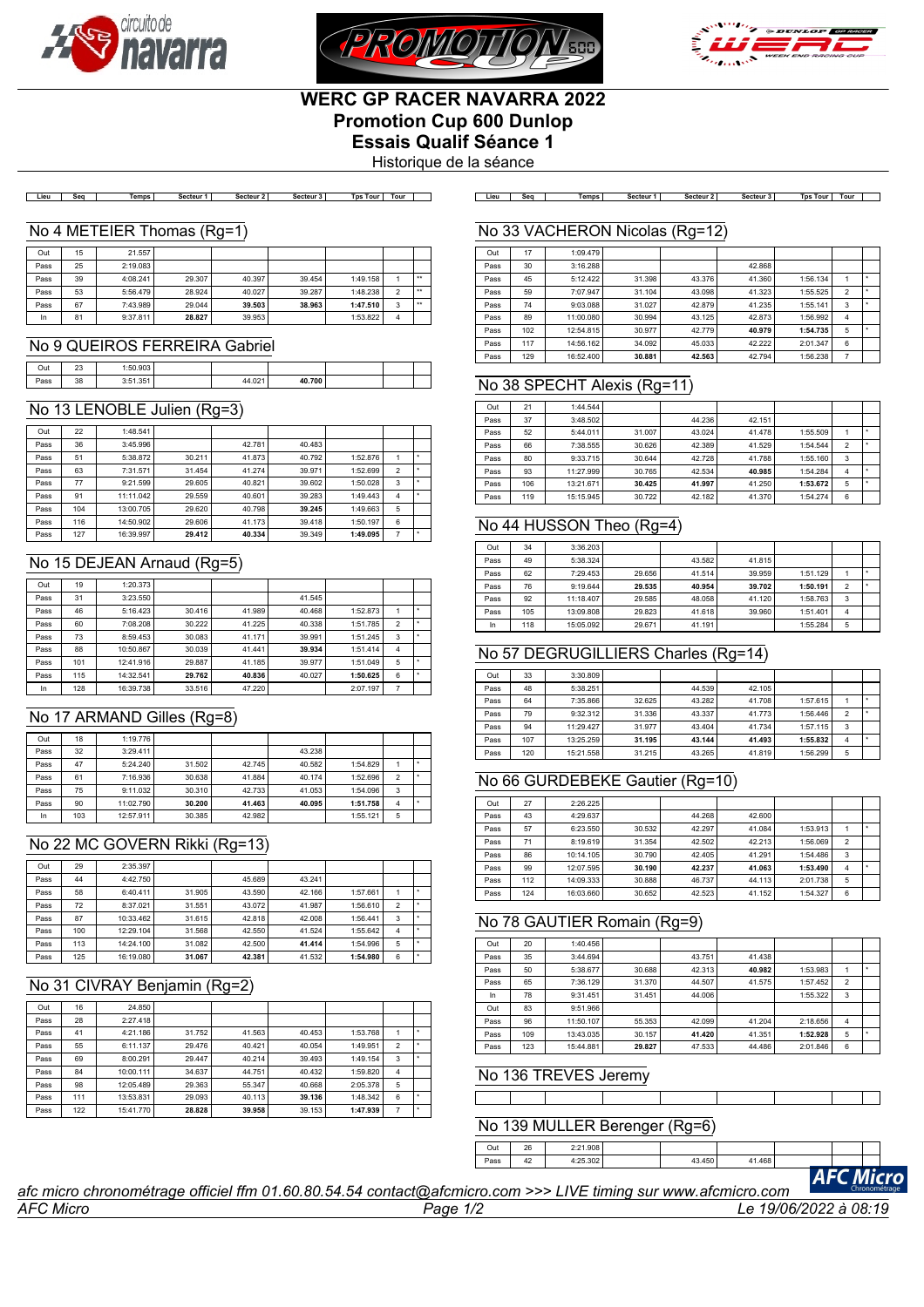





# **WERC GP RACER NAVARRA 2022 Promotion Cup 600 Dunlop Essais Qualif Séance 1**

Historique de la séance

| Lieu | Seq | Temps| Secteur1| Secteur2| Secteur3| TpsTour|Tour| | Lieu | Seq | Temps| Secteur1| Secteur2| Secteur3| TpsTour|Tour|

#### No 4 METEIER Thomas (Rg=1)

| Out  | 15 | 21.557   |        |        |        |          |                |              |
|------|----|----------|--------|--------|--------|----------|----------------|--------------|
| Pass | 25 | 2:19.083 |        |        |        |          |                |              |
| Pass | 39 | 4:08.241 | 29,307 | 40.397 | 39.454 | 1:49.158 |                | $\star\star$ |
| Pass | 53 | 5:56.479 | 28.924 | 40.027 | 39.287 | 1:48.238 | $\overline{2}$ | $\star\star$ |
| Pass | 67 | 7:43.989 | 29.044 | 39.503 | 38.963 | 1:47.510 | 3              | $\star\star$ |
| In   | 81 | 9:37.811 | 28.827 | 39.953 |        | 1:53.822 | 4              |              |

#### No 9 QUEIROS FERREIRA Gabriel

| Out  | $\sim$<br>2ν | 0 <sub>0</sub><br>1.50      |              |        |  |  |
|------|--------------|-----------------------------|--------------|--------|--|--|
| Pass | 38           | $\sim$ $\sim$ $\sim$<br>2.5 | 021<br>77.VL | 40.700 |  |  |

# No 13 LENOBLE Julien (Rg=3)

| Out  | 22  | 1:48.541  |        |        |        |          |                |   |
|------|-----|-----------|--------|--------|--------|----------|----------------|---|
| Pass | 36  | 3:45.996  |        | 42.781 | 40.483 |          |                |   |
| Pass | 51  | 5:38.872  | 30.211 | 41.873 | 40.792 | 1:52.876 |                | ۰ |
| Pass | 63  | 7:31.571  | 31.454 | 41.274 | 39.971 | 1:52.699 | $\overline{2}$ |   |
| Pass | 77  | 9:21.599  | 29.605 | 40.821 | 39.602 | 1:50.028 | 3              | ۰ |
| Pass | 91  | 11:11.042 | 29.559 | 40.601 | 39.283 | 1:49.443 | 4              | ٠ |
| Pass | 104 | 13:00.705 | 29.620 | 40.798 | 39.245 | 1:49.663 | 5              |   |
| Pass | 116 | 14:50.902 | 29,606 | 41.173 | 39.418 | 1:50.197 | 6              |   |
| Pass | 127 | 16:39.997 | 29.412 | 40.334 | 39.349 | 1:49.095 | 7              | ٠ |

## No 15 DEJEAN Arnaud (Rg=5)

| Out  | 19  | 1:20.373  |        |        |        |          |   |  |
|------|-----|-----------|--------|--------|--------|----------|---|--|
| Pass | 31  | 3:23.550  |        |        | 41.545 |          |   |  |
| Pass | 46  | 5:16.423  | 30.416 | 41.989 | 40.468 | 1:52.873 |   |  |
| Pass | 60  | 7:08.208  | 30.222 | 41.225 | 40.338 | 1:51.785 | 2 |  |
| Pass | 73  | 8:59.453  | 30.083 | 41.171 | 39.991 | 1:51.245 | 3 |  |
| Pass | 88  | 10:50.867 | 30.039 | 41.441 | 39.934 | 1:51.414 | 4 |  |
| Pass | 101 | 12:41.916 | 29.887 | 41.185 | 39.977 | 1:51.049 | 5 |  |
| Pass | 115 | 14:32.541 | 29.762 | 40.836 | 40.027 | 1:50.625 | 6 |  |
| In   | 128 | 16:39.738 | 33.516 | 47.220 |        | 2:07.197 | 7 |  |

#### No 17 ARMAND Gilles (Rg=8)

| Out  | 18  | 1:19.776  |        |        |        |          |                          |  |
|------|-----|-----------|--------|--------|--------|----------|--------------------------|--|
| Pass | 32  | 3:29.411  |        |        | 43.238 |          |                          |  |
| Pass | 47  | 5:24.240  | 31.502 | 42.745 | 40.582 | 1:54.829 |                          |  |
| Pass | 61  | 7:16.936  | 30.638 | 41.884 | 40.174 | 1:52.696 | $\overline{\phantom{a}}$ |  |
| Pass | 75  | 9:11.032  | 30.310 | 42.733 | 41.053 | 1:54.096 | 3                        |  |
| Pass | 90  | 11:02.790 | 30,200 | 41.463 | 40.095 | 1:51.758 | 4                        |  |
| In   | 103 | 12:57.911 | 30.385 | 42.982 |        | 1:55.121 | 5                        |  |

#### No 22 MC GOVERN Rikki (Rg=13)

| Out  | 29  | 2:35.397  |        |        |        |          |                |         |
|------|-----|-----------|--------|--------|--------|----------|----------------|---------|
| Pass | 44  | 4:42.750  |        | 45.689 | 43.241 |          |                |         |
| Pass | 58  | 6:40.411  | 31.905 | 43.590 | 42.166 | 1:57.661 |                |         |
| Pass | 72  | 8:37.021  | 31.551 | 43.072 | 41.987 | 1:56.610 | $\mathfrak{p}$ |         |
| Pass | 87  | 10:33.462 | 31.615 | 42.818 | 42.008 | 1:56.441 | 3              | ۰       |
| Pass | 100 | 12:29.104 | 31.568 | 42.550 | 41.524 | 1:55.642 | 4              |         |
| Pass | 113 | 14:24.100 | 31.082 | 42.500 | 41.414 | 1:54.996 | 5              | ۰       |
| Pass | 125 | 16:19.080 | 31.067 | 42.381 | 41.532 | 1:54.980 | 6              | $\star$ |

## No 31 CIVRAY Benjamin (Rg=2)

| Out  | 16  | 24.850    |        |        |        |          |                |  |
|------|-----|-----------|--------|--------|--------|----------|----------------|--|
| Pass | 28  | 2:27.418  |        |        |        |          |                |  |
| Pass | 41  | 4:21.186  | 31.752 | 41.563 | 40.453 | 1:53.768 |                |  |
| Pass | 55  | 6:11.137  | 29.476 | 40.421 | 40.054 | 1:49.951 | $\overline{2}$ |  |
| Pass | 69  | 8:00.291  | 29.447 | 40.214 | 39.493 | 1:49.154 | 3              |  |
| Pass | 84  | 10:00.111 | 34.637 | 44.751 | 40.432 | 1:59.820 | 4              |  |
| Pass | 98  | 12:05.489 | 29.363 | 55.347 | 40.668 | 2:05.378 | 5              |  |
| Pass | 111 | 13:53.831 | 29.093 | 40.113 | 39.136 | 1:48.342 | 6              |  |
| Pass | 122 | 15:41.770 | 28.828 | 39.958 | 39.153 | 1:47.939 | 7              |  |

# $N<sub>0</sub>$  33 VACHERON Nicolas (Rg=12)

|      |     | ו שט טאַ זי דער וכו וכוח שה ע |        | $(1.9 - 14)$ |        |          |                |  |
|------|-----|-------------------------------|--------|--------------|--------|----------|----------------|--|
| Out  | 17  | 1:09.479                      |        |              |        |          |                |  |
|      |     |                               |        |              |        |          |                |  |
| Pass | 30  | 3:16.288                      |        |              | 42.868 |          |                |  |
| Pass | 45  | 5:12.422                      | 31.398 | 43.376       | 41.360 | 1:56.134 |                |  |
| Pass | 59  | 7:07.947                      | 31.104 | 43.098       | 41.323 | 1:55.525 | $\overline{2}$ |  |
| Pass | 74  | 9:03.088                      | 31.027 | 42.879       | 41.235 | 1:55.141 | 3              |  |
| Pass | 89  | 11:00.080                     | 30.994 | 43.125       | 42.873 | 1:56.992 | 4              |  |
| Pass | 102 | 12:54.815                     | 30.977 | 42.779       | 40.979 | 1:54.735 | 5              |  |
| Pass | 117 | 14:56.162                     | 34.092 | 45.033       | 42.222 | 2:01.347 | 6              |  |
| Pass | 129 | 16:52.400                     | 30.881 | 42.563       | 42.794 | 1:56.238 | 7              |  |

#### No 38 SPECHT Alexis (Rg=11)

| Out  | 21  | 1:44.544  |        |        |        |          |                |   |
|------|-----|-----------|--------|--------|--------|----------|----------------|---|
| Pass | 37  | 3:48.502  |        | 44.236 | 42.151 |          |                |   |
| Pass | 52  | 5:44.011  | 31.007 | 43.024 | 41.478 | 1:55.509 |                |   |
| Pass | 66  | 7:38.555  | 30.626 | 42.389 | 41.529 | 1:54.544 | $\overline{2}$ | ٠ |
| Pass | 80  | 9:33.715  | 30.644 | 42.728 | 41.788 | 1:55.160 | 3              |   |
| Pass | 93  | 11:27.999 | 30.765 | 42.534 | 40.985 | 1:54.284 | 4              |   |
| Pass | 106 | 13:21.671 | 30.425 | 41.997 | 41.250 | 1:53.672 | 5              | ۰ |
| Pass | 119 | 15:15.945 | 30.722 | 42.182 | 41.370 | 1:54.274 | 6              |   |

# No 44 HUSSON Theo (Rg=4)

|      | 34  | 3:36.203  |        |        |        |          |   |  |
|------|-----|-----------|--------|--------|--------|----------|---|--|
| Out  |     |           |        |        |        |          |   |  |
| Pass | 49  | 5:38.324  |        | 43.582 | 41.815 |          |   |  |
| Pass | 62  | 7:29.453  | 29.656 | 41.514 | 39.959 | 1:51.129 |   |  |
| Pass | 76  | 9:19.644  | 29.535 | 40.954 | 39.702 | 1:50.191 | 2 |  |
| Pass | 92  | 11:18.407 | 29.585 | 48.058 | 41.120 | 1:58.763 | 3 |  |
| Pass | 105 | 13:09.808 | 29.823 | 41.618 | 39.960 | 1:51.401 | 4 |  |
| In   | 118 | 15:05.092 | 29.671 | 41.191 |        | 1:55.284 | 5 |  |

### No 57 DEGRUGILLIERS Charles (Rg=14)

| Out  | 33  | 3:30.809  |        |        |        |          |                |   |
|------|-----|-----------|--------|--------|--------|----------|----------------|---|
| Pass | 48  | 5:38.251  |        | 44.539 | 42.105 |          |                |   |
| Pass | 64  | 7:35.866  | 32.625 | 43.282 | 41.708 | 1:57.615 |                |   |
| Pass | 79  | 9:32.312  | 31.336 | 43.337 | 41.773 | 1:56.446 | $\overline{2}$ |   |
| Pass | 94  | 11:29.427 | 31.977 | 43.404 | 41.734 | 1:57.115 | 3              |   |
| Pass | 107 | 13:25.259 | 31.195 | 43.144 | 41.493 | 1:55.832 | 4              | ٠ |
| Pass | 120 | 15:21.558 | 31.215 | 43.265 | 41.819 | 1:56.299 | 5              |   |

## No 66 GURDEBEKE Gautier (Rg=10)

| Out  | 27  | 2:26.225  |        |        |        |          |                |  |
|------|-----|-----------|--------|--------|--------|----------|----------------|--|
| Pass | 43  | 4:29.637  |        | 44.268 | 42.600 |          |                |  |
| Pass | 57  | 6:23.550  | 30.532 | 42.297 | 41.084 | 1:53.913 |                |  |
| Pass | 71  | 8:19.619  | 31.354 | 42.502 | 42.213 | 1:56.069 | $\overline{2}$ |  |
| Pass | 86  | 10:14.105 | 30.790 | 42.405 | 41.291 | 1:54.486 | 3              |  |
| Pass | 99  | 12:07.595 | 30.190 | 42.237 | 41.063 | 1:53.490 | 4              |  |
| Pass | 112 | 14:09.333 | 30.888 | 46.737 | 44.113 | 2:01.738 | 5              |  |
| Pass | 124 | 16:03.660 | 30.652 | 42.523 | 41.152 | 1:54.327 | 6              |  |

# No 78 GAUTIER Romain (Rg=9)

| Out  | 20  | 1:40.456  |        |        |        |          |                |   |
|------|-----|-----------|--------|--------|--------|----------|----------------|---|
| Pass | 35  | 3:44.694  |        | 43.751 | 41.438 |          |                |   |
| Pass | 50  | 5:38.677  | 30.688 | 42.313 | 40.982 | 1:53.983 |                | ٠ |
| Pass | 65  | 7:36.129  | 31.370 | 44.507 | 41.575 | 1:57.452 | $\overline{2}$ |   |
| In   | 78  | 9:31.451  | 31.451 | 44.006 |        | 1:55.322 | 3              |   |
| Out  | 83  | 9:51.966  |        |        |        |          |                |   |
| Pass | 96  | 11:50.107 | 55.353 | 42.099 | 41.204 | 2:18.656 | 4              |   |
| Pass | 109 | 13:43.035 | 30.157 | 41.420 | 41.351 | 1:52.928 | 5              |   |
| Pass | 123 | 15:44.881 | 29.827 | 47.533 | 44.486 | 2:01.846 | 6              |   |

#### No 136 TREVES Jeremy

┯

 $Out 26$ Pass 42

Т

# No 139 MULLER Berenger (Rg=6)

|          |        |        | . . |  |
|----------|--------|--------|-----|--|
| 4:25.302 | 43.450 | 41.468 |     |  |
| 2:21.908 |        |        |     |  |

*AFC Micro Page 1/2 Le 19/06/2022 à 08:19 afc micro chronométrage officiel ffm 01.60.80.54.54 contact@afcmicro.com >>> LIVE timing sur www.afcmicro.com*